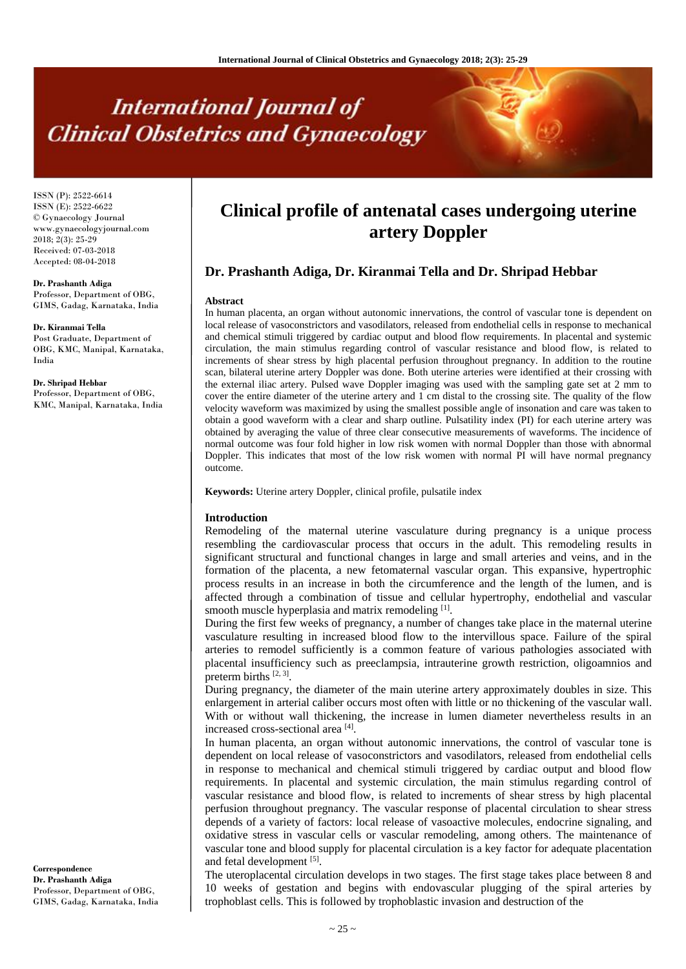# **International Journal of Clinical Obstetrics and Gynaecology**

ISSN (P): 2522-6614 ISSN (E): 2522-6622 © Gynaecology Journal www.gynaecologyjournal.com 2018; 2(3): 25-29 Received: 07-03-2018 Accepted: 08-04-2018

**Dr. Prashanth Adiga** Professor, Department of OBG, GIMS, Gadag, Karnataka, India

**Dr. Kiranmai Tella** Post Graduate, Department of OBG, KMC, Manipal, Karnataka, India

**Dr. Shripad Hebbar** Professor, Department of OBG, KMC, Manipal, Karnataka, India

**Correspondence Dr. Prashanth Adiga** Professor, Department of OBG, GIMS, Gadag, Karnataka, India

# **Clinical profile of antenatal cases undergoing uterine artery Doppler**

## **Dr. Prashanth Adiga, Dr. Kiranmai Tella and Dr. Shripad Hebbar**

#### **Abstract**

In human placenta, an organ without autonomic innervations, the control of vascular tone is dependent on local release of vasoconstrictors and vasodilators, released from endothelial cells in response to mechanical and chemical stimuli triggered by cardiac output and blood flow requirements. In placental and systemic circulation, the main stimulus regarding control of vascular resistance and blood flow, is related to increments of shear stress by high placental perfusion throughout pregnancy. In addition to the routine scan, bilateral uterine artery Doppler was done. Both uterine arteries were identified at their crossing with the external iliac artery. Pulsed wave Doppler imaging was used with the sampling gate set at 2 mm to cover the entire diameter of the uterine artery and 1 cm distal to the crossing site. The quality of the flow velocity waveform was maximized by using the smallest possible angle of insonation and care was taken to obtain a good waveform with a clear and sharp outline. Pulsatility index (PI) for each uterine artery was obtained by averaging the value of three clear consecutive measurements of waveforms. The incidence of normal outcome was four fold higher in low risk women with normal Doppler than those with abnormal Doppler. This indicates that most of the low risk women with normal PI will have normal pregnancy outcome.

**Keywords:** Uterine artery Doppler, clinical profile, pulsatile index

#### **Introduction**

Remodeling of the maternal uterine vasculature during pregnancy is a unique process resembling the cardiovascular process that occurs in the adult. This remodeling results in significant structural and functional changes in large and small arteries and veins, and in the formation of the placenta, a new fetomaternal vascular organ. This expansive, hypertrophic process results in an increase in both the circumference and the length of the lumen, and is affected through a combination of tissue and cellular hypertrophy, endothelial and vascular smooth muscle hyperplasia and matrix remodeling [1].

During the first few weeks of pregnancy, a number of changes take place in the maternal uterine vasculature resulting in increased blood flow to the intervillous space. Failure of the spiral arteries to remodel sufficiently is a common feature of various pathologies associated with placental insufficiency such as preeclampsia, intrauterine growth restriction, oligoamnios and preterm births  $[2, 3]$ .

During pregnancy, the diameter of the main uterine artery approximately doubles in size. This enlargement in arterial caliber occurs most often with little or no thickening of the vascular wall. With or without wall thickening, the increase in lumen diameter nevertheless results in an increased cross-sectional area [4].

In human placenta, an organ without autonomic innervations, the control of vascular tone is dependent on local release of vasoconstrictors and vasodilators, released from endothelial cells in response to mechanical and chemical stimuli triggered by cardiac output and blood flow requirements. In placental and systemic circulation, the main stimulus regarding control of vascular resistance and blood flow, is related to increments of shear stress by high placental perfusion throughout pregnancy. The vascular response of placental circulation to shear stress depends of a variety of factors: local release of vasoactive molecules, endocrine signaling, and oxidative stress in vascular cells or vascular remodeling, among others. The maintenance of vascular tone and blood supply for placental circulation is a key factor for adequate placentation and fetal development [5].

The uteroplacental circulation develops in two stages. The first stage takes place between 8 and 10 weeks of gestation and begins with endovascular plugging of the spiral arteries by trophoblast cells. This is followed by trophoblastic invasion and destruction of the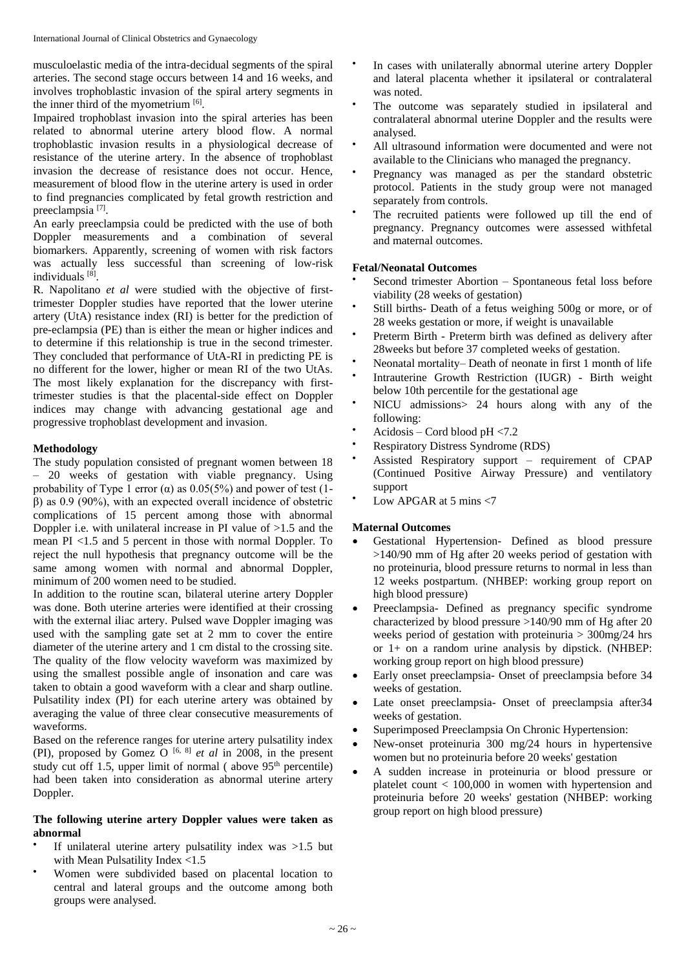musculoelastic media of the intra-decidual segments of the spiral arteries. The second stage occurs between 14 and 16 weeks, and involves trophoblastic invasion of the spiral artery segments in the inner third of the myometrium [6].

Impaired trophoblast invasion into the spiral arteries has been related to abnormal uterine artery blood flow. A normal trophoblastic invasion results in a physiological decrease of resistance of the uterine artery. In the absence of trophoblast invasion the decrease of resistance does not occur. Hence, measurement of blood flow in the uterine artery is used in order to find pregnancies complicated by fetal growth restriction and preeclampsia<sup>[7]</sup>.

An early preeclampsia could be predicted with the use of both Doppler measurements and a combination of several biomarkers. Apparently, screening of women with risk factors was actually less successful than screening of low-risk individuals<sup>[8]</sup>.

R. Napolitano *et al* were studied with the objective of firsttrimester Doppler studies have reported that the lower uterine artery (UtA) resistance index (RI) is better for the prediction of pre-eclampsia (PE) than is either the mean or higher indices and to determine if this relationship is true in the second trimester. They concluded that performance of UtA-RI in predicting PE is no different for the lower, higher or mean RI of the two UtAs. The most likely explanation for the discrepancy with firsttrimester studies is that the placental-side effect on Doppler indices may change with advancing gestational age and progressive trophoblast development and invasion.

#### **Methodology**

The study population consisted of pregnant women between 18 – 20 weeks of gestation with viable pregnancy. Using probability of Type 1 error ( $\alpha$ ) as 0.05(5%) and power of test (1β) as 0.9 (90%), with an expected overall incidence of obstetric complications of 15 percent among those with abnormal Doppler i.e. with unilateral increase in PI value of >1.5 and the mean PI <1.5 and 5 percent in those with normal Doppler. To reject the null hypothesis that pregnancy outcome will be the same among women with normal and abnormal Doppler, minimum of 200 women need to be studied.

In addition to the routine scan, bilateral uterine artery Doppler was done. Both uterine arteries were identified at their crossing with the external iliac artery. Pulsed wave Doppler imaging was used with the sampling gate set at 2 mm to cover the entire diameter of the uterine artery and 1 cm distal to the crossing site. The quality of the flow velocity waveform was maximized by using the smallest possible angle of insonation and care was taken to obtain a good waveform with a clear and sharp outline. Pulsatility index (PI) for each uterine artery was obtained by averaging the value of three clear consecutive measurements of waveforms.

Based on the reference ranges for uterine artery pulsatility index (PI), proposed by Gomez O<sup>[6, 8]</sup> et al in 2008, in the present study cut off 1.5, upper limit of normal (above  $95<sup>th</sup>$  percentile) had been taken into consideration as abnormal uterine artery Doppler.

#### **The following uterine artery Doppler values were taken as abnormal**

- $\bullet$ If unilateral uterine artery pulsatility index was >1.5 but with Mean Pulsatility Index <1.5
- Women were subdivided based on placental location to central and lateral groups and the outcome among both groups were analysed.
- $\bullet$ In cases with unilaterally abnormal uterine artery Doppler and lateral placenta whether it ipsilateral or contralateral was noted.
- The outcome was separately studied in ipsilateral and contralateral abnormal uterine Doppler and the results were analysed.
- All ultrasound information were documented and were not available to the Clinicians who managed the pregnancy.
- Pregnancy was managed as per the standard obstetric protocol. Patients in the study group were not managed separately from controls.
- The recruited patients were followed up till the end of pregnancy. Pregnancy outcomes were assessed withfetal and maternal outcomes.

#### **Fetal/Neonatal Outcomes**

- Second trimester Abortion Spontaneous fetal loss before viability (28 weeks of gestation)
- Still births- Death of a fetus weighing 500g or more, or of 28 weeks gestation or more, if weight is unavailable
- Preterm Birth Preterm birth was defined as delivery after 28weeks but before 37 completed weeks of gestation.
- Neonatal mortality– Death of neonate in first 1 month of life
- $\bullet$ Intrauterine Growth Restriction (IUGR) - Birth weight below 10th percentile for the gestational age
- NICU admissions> 24 hours along with any of the following:
- Acidosis Cord blood pH <7.2
- Respiratory Distress Syndrome (RDS)
- Assisted Respiratory support requirement of CPAP (Continued Positive Airway Pressure) and ventilatory support
- Low APGAR at 5 mins <7

### **Maternal Outcomes**

- Gestational Hypertension- Defined as blood pressure >140/90 mm of Hg after 20 weeks period of gestation with no proteinuria, blood pressure returns to normal in less than 12 weeks postpartum. (NHBEP: working group report on high blood pressure)
- Preeclampsia- Defined as pregnancy specific syndrome characterized by blood pressure >140/90 mm of Hg after 20 weeks period of gestation with proteinuria > 300mg/24 hrs or 1+ on a random urine analysis by dipstick. (NHBEP: working group report on high blood pressure)
- Early onset preeclampsia- Onset of preeclampsia before 34 weeks of gestation.
- Late onset preeclampsia- Onset of preeclampsia after34 weeks of gestation.
- Superimposed Preeclampsia On Chronic Hypertension:
- New-onset proteinuria 300 mg/24 hours in hypertensive women but no proteinuria before 20 weeks' gestation
- A sudden increase in proteinuria or blood pressure or platelet count < 100,000 in women with hypertension and proteinuria before 20 weeks' gestation (NHBEP: working group report on high blood pressure)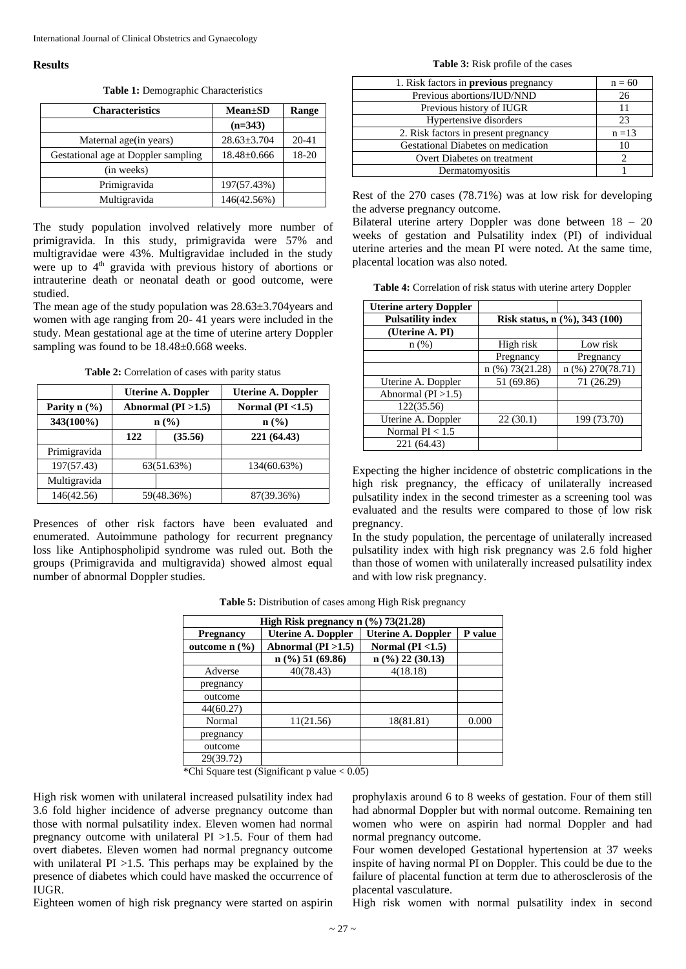#### **Results**

**Table 1:** Demographic Characteristics

| <b>Characteristics</b>              | <b>Mean</b> ±SD   | Range     |
|-------------------------------------|-------------------|-----------|
|                                     | $(n=343)$         |           |
| Maternal age(in years)              | $28.63 + 3.704$   | $20 - 41$ |
| Gestational age at Doppler sampling | $18.48 \pm 0.666$ | 18-20     |
| (in weeks)                          |                   |           |
| Primigravida                        | 197(57.43%)       |           |
| Multigravida                        | 146(42.56%)       |           |

The study population involved relatively more number of primigravida. In this study, primigravida were 57% and multigravidae were 43%. Multigravidae included in the study were up to 4<sup>th</sup> gravida with previous history of abortions or intrauterine death or neonatal death or good outcome, were studied.

The mean age of the study population was 28.63±3.704years and women with age ranging from 20- 41 years were included in the study. Mean gestational age at the time of uterine artery Doppler sampling was found to be 18.48±0.668 weeks.

Table 2: Correlation of cases with parity status

|                                       | <b>Uterine A. Doppler</b> |            | <b>Uterine A. Doppler</b> |  |
|---------------------------------------|---------------------------|------------|---------------------------|--|
| Parity $n$ $\left(\frac{9}{6}\right)$ | Abnormal $(PI > 1.5)$     |            | Normal $(PI < 1.5)$       |  |
| $343(100\%)$                          | n (% )                    |            | $\mathbf{n}(\%)$          |  |
|                                       | 122                       | (35.56)    | 221 (64.43)               |  |
| Primigravida                          |                           |            |                           |  |
| 197(57.43)                            |                           | 63(51.63%) | 134(60.63%)               |  |
| Multigravida                          |                           |            |                           |  |
| 146(42.56)                            |                           | 59(48.36%) | 87(39.36%)                |  |

Presences of other risk factors have been evaluated and enumerated. Autoimmune pathology for recurrent pregnancy loss like Antiphospholipid syndrome was ruled out. Both the groups (Primigravida and multigravida) showed almost equal number of abnormal Doppler studies.

**Table 3:** Risk profile of the cases

| 1. Risk factors in previous pregnancy | $n = 60$ |
|---------------------------------------|----------|
| Previous abortions/IUD/NND            | 26       |
| Previous history of IUGR              | 11       |
| Hypertensive disorders                | 23       |
| 2. Risk factors in present pregnancy  | $n = 13$ |
| Gestational Diabetes on medication    | 10       |
| Overt Diabetes on treatment           |          |
| Dermatomyositis                       |          |

Rest of the 270 cases (78.71%) was at low risk for developing the adverse pregnancy outcome.

Bilateral uterine artery Doppler was done between 18 – 20 weeks of gestation and Pulsatility index (PI) of individual uterine arteries and the mean PI were noted. At the same time, placental location was also noted.

**Table 4:** Correlation of risk status with uterine artery Doppler

| <b>Uterine artery Doppler</b> |                               |                    |
|-------------------------------|-------------------------------|--------------------|
| <b>Pulsatility index</b>      | Risk status, n (%), 343 (100) |                    |
| (Uterine A. PI)               |                               |                    |
| $n$ (%)                       | High risk                     | Low risk           |
|                               | Pregnancy                     | Pregnancy          |
|                               | n (%) 73(21.28)               | $n$ (%) 270(78.71) |
| Uterine A. Doppler            | 51 (69.86)                    | 71 (26.29)         |
| Abnormal $(PI > 1.5)$         |                               |                    |
| 122(35.56)                    |                               |                    |
| Uterine A. Doppler            | 22(30.1)                      | 199 (73.70)        |
| Normal $PI < 1.5$             |                               |                    |
| 221 (64.43)                   |                               |                    |

Expecting the higher incidence of obstetric complications in the high risk pregnancy, the efficacy of unilaterally increased pulsatility index in the second trimester as a screening tool was evaluated and the results were compared to those of low risk pregnancy.

In the study population, the percentage of unilaterally increased pulsatility index with high risk pregnancy was 2.6 fold higher than those of women with unilaterally increased pulsatility index and with low risk pregnancy.

| High Risk pregnancy n (%) 73(21.28)    |                                                 |                     |         |
|----------------------------------------|-------------------------------------------------|---------------------|---------|
| <b>Pregnancy</b>                       | <b>Uterine A. Doppler</b><br>Uterine A. Doppler |                     | P value |
| outcome $n$ $\left(\frac{9}{6}\right)$ | Abnormal $(PI > 1.5)$                           | Normal $(PI < 1.5)$ |         |
|                                        | $n$ (%) 51 (69.86)                              | $n$ (%) 22 (30.13)  |         |
| Adverse                                | 40(78.43)                                       | 4(18.18)            |         |
| pregnancy                              |                                                 |                     |         |
| outcome                                |                                                 |                     |         |
| 44(60.27)                              |                                                 |                     |         |
| Normal                                 | 11(21.56)                                       | 18(81.81)           | 0.000   |
| pregnancy                              |                                                 |                     |         |
| outcome                                |                                                 |                     |         |
| 29(39.72)                              |                                                 |                     |         |

Table 5: Distribution of cases among High Risk pregnancy

\*Chi Square test (Significant p value < 0.05)

High risk women with unilateral increased pulsatility index had 3.6 fold higher incidence of adverse pregnancy outcome than those with normal pulsatility index. Eleven women had normal pregnancy outcome with unilateral PI >1.5. Four of them had overt diabetes. Eleven women had normal pregnancy outcome with unilateral  $PI > 1.5$ . This perhaps may be explained by the presence of diabetes which could have masked the occurrence of IUGR.

Eighteen women of high risk pregnancy were started on aspirin

prophylaxis around 6 to 8 weeks of gestation. Four of them still had abnormal Doppler but with normal outcome. Remaining ten women who were on aspirin had normal Doppler and had normal pregnancy outcome.

Four women developed Gestational hypertension at 37 weeks inspite of having normal PI on Doppler. This could be due to the failure of placental function at term due to atherosclerosis of the placental vasculature.

High risk women with normal pulsatility index in second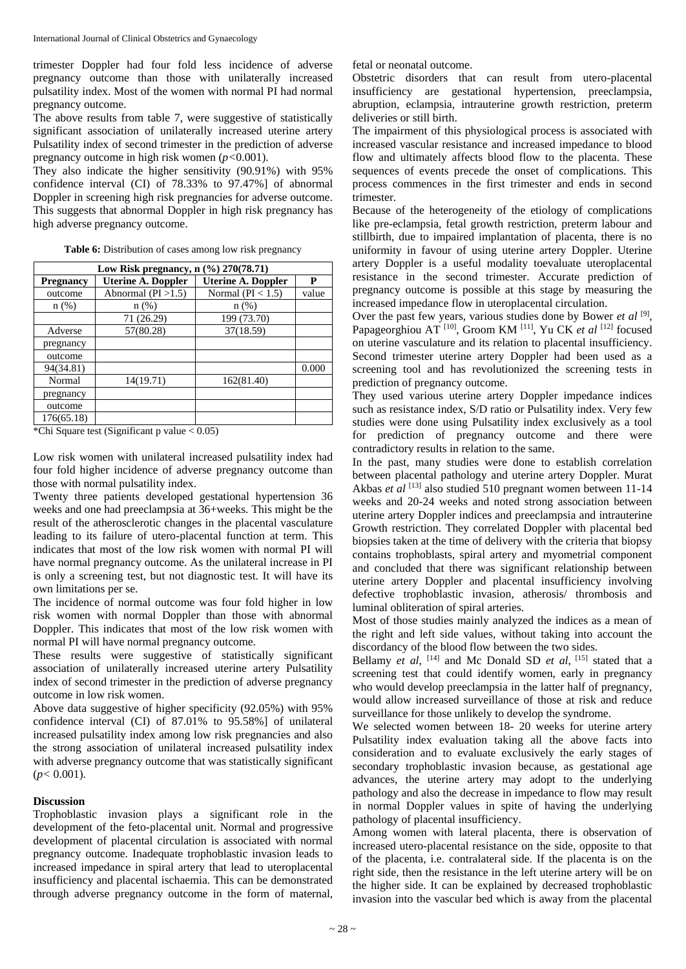trimester Doppler had four fold less incidence of adverse pregnancy outcome than those with unilaterally increased pulsatility index. Most of the women with normal PI had normal pregnancy outcome.

The above results from table 7, were suggestive of statistically significant association of unilaterally increased uterine artery Pulsatility index of second trimester in the prediction of adverse pregnancy outcome in high risk women (*p<*0.001).

They also indicate the higher sensitivity (90.91%) with 95% confidence interval (CI) of 78.33% to 97.47%] of abnormal Doppler in screening high risk pregnancies for adverse outcome. This suggests that abnormal Doppler in high risk pregnancy has high adverse pregnancy outcome.

**Table 6:** Distribution of cases among low risk pregnancy

| Low Risk pregnancy, n (%) 270(78.71) |                           |                           |       |
|--------------------------------------|---------------------------|---------------------------|-------|
| <b>Pregnancy</b>                     | <b>Uterine A. Doppler</b> | <b>Uterine A. Doppler</b> | P     |
| outcome                              | Abnormal $(PI > 1.5)$     | Normal ( $PI < 1.5$ )     | value |
| $n$ (%)                              | $n$ (%)                   | $n(\%)$                   |       |
|                                      | 71 (26.29)                | 199 (73.70)               |       |
| Adverse                              | 57(80.28)                 | 37(18.59)                 |       |
| pregnancy                            |                           |                           |       |
| outcome                              |                           |                           |       |
| 94(34.81)                            |                           |                           | 0.000 |
| Normal                               | 14(19.71)                 | 162(81.40)                |       |
| pregnancy                            |                           |                           |       |
| outcome                              |                           |                           |       |
| 176(65.18)                           |                           |                           |       |

\*Chi Square test (Significant p value  $< 0.05$ )

Low risk women with unilateral increased pulsatility index had four fold higher incidence of adverse pregnancy outcome than those with normal pulsatility index.

Twenty three patients developed gestational hypertension 36 weeks and one had preeclampsia at 36+weeks. This might be the result of the atherosclerotic changes in the placental vasculature leading to its failure of utero-placental function at term. This indicates that most of the low risk women with normal PI will have normal pregnancy outcome. As the unilateral increase in PI is only a screening test, but not diagnostic test. It will have its own limitations per se.

The incidence of normal outcome was four fold higher in low risk women with normal Doppler than those with abnormal Doppler. This indicates that most of the low risk women with normal PI will have normal pregnancy outcome.

These results were suggestive of statistically significant association of unilaterally increased uterine artery Pulsatility index of second trimester in the prediction of adverse pregnancy outcome in low risk women.

Above data suggestive of higher specificity (92.05%) with 95% confidence interval (CI) of 87.01% to 95.58%] of unilateral increased pulsatility index among low risk pregnancies and also the strong association of unilateral increased pulsatility index with adverse pregnancy outcome that was statistically significant  $(p < 0.001)$ .

#### **Discussion**

Trophoblastic invasion plays a significant role in the development of the feto-placental unit. Normal and progressive development of placental circulation is associated with normal pregnancy outcome. Inadequate trophoblastic invasion leads to increased impedance in spiral artery that lead to uteroplacental insufficiency and placental ischaemia. This can be demonstrated through adverse pregnancy outcome in the form of maternal,

fetal or neonatal outcome.

Obstetric disorders that can result from utero-placental insufficiency are gestational hypertension, preeclampsia, abruption, eclampsia, intrauterine growth restriction, preterm deliveries or still birth.

The impairment of this physiological process is associated with increased vascular resistance and increased impedance to blood flow and ultimately affects blood flow to the placenta. These sequences of events precede the onset of complications. This process commences in the first trimester and ends in second trimester.

Because of the heterogeneity of the etiology of complications like pre-eclampsia, fetal growth restriction, preterm labour and stillbirth, due to impaired implantation of placenta, there is no uniformity in favour of using uterine artery Doppler. Uterine artery Doppler is a useful modality toevaluate uteroplacental resistance in the second trimester. Accurate prediction of pregnancy outcome is possible at this stage by measuring the increased impedance flow in uteroplacental circulation.

Over the past few years, various studies done by Bower *et al* [9], Papageorghiou AT<sup>[10]</sup>, Groom KM<sup>[11]</sup>, Yu CK et al<sup>[12]</sup> focused on uterine vasculature and its relation to placental insufficiency. Second trimester uterine artery Doppler had been used as a screening tool and has revolutionized the screening tests in prediction of pregnancy outcome.

They used various uterine artery Doppler impedance indices such as resistance index, S/D ratio or Pulsatility index. Very few studies were done using Pulsatility index exclusively as a tool for prediction of pregnancy outcome and there were contradictory results in relation to the same.

In the past, many studies were done to establish correlation between placental pathology and uterine artery Doppler. Murat Akbas et al <sup>[13]</sup> also studied 510 pregnant women between 11-14 weeks and 20-24 weeks and noted strong association between uterine artery Doppler indices and preeclampsia and intrauterine Growth restriction. They correlated Doppler with placental bed biopsies taken at the time of delivery with the criteria that biopsy contains trophoblasts, spiral artery and myometrial component and concluded that there was significant relationship between uterine artery Doppler and placental insufficiency involving defective trophoblastic invasion, atherosis/ thrombosis and luminal obliteration of spiral arteries.

Most of those studies mainly analyzed the indices as a mean of the right and left side values, without taking into account the discordancy of the blood flow between the two sides.

Bellamy *et al*, <sup>[14]</sup> and Mc Donald SD *et al*, <sup>[15]</sup> stated that a screening test that could identify women, early in pregnancy who would develop preeclampsia in the latter half of pregnancy, would allow increased surveillance of those at risk and reduce surveillance for those unlikely to develop the syndrome.

We selected women between 18- 20 weeks for uterine artery Pulsatility index evaluation taking all the above facts into consideration and to evaluate exclusively the early stages of secondary trophoblastic invasion because, as gestational age advances, the uterine artery may adopt to the underlying pathology and also the decrease in impedance to flow may result in normal Doppler values in spite of having the underlying pathology of placental insufficiency.

Among women with lateral placenta, there is observation of increased utero-placental resistance on the side, opposite to that of the placenta, i.e. contralateral side. If the placenta is on the right side, then the resistance in the left uterine artery will be on the higher side. It can be explained by decreased trophoblastic invasion into the vascular bed which is away from the placental